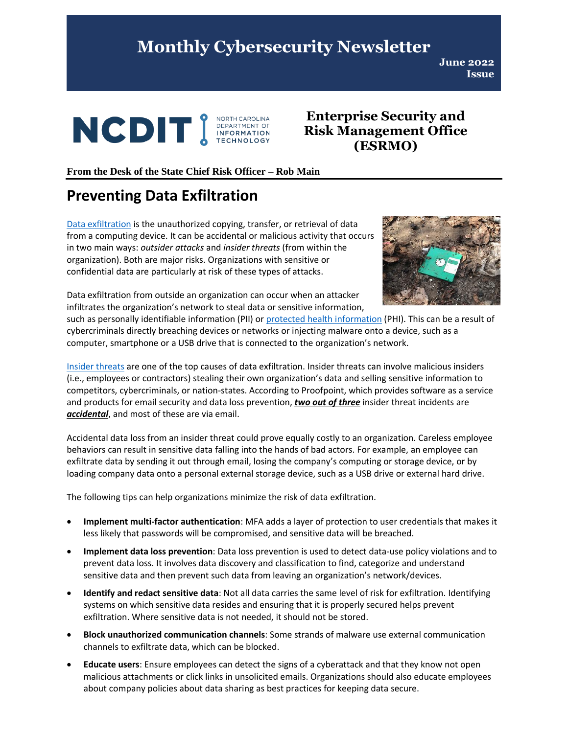## **Monthly Cybersecurity Newsletter**

**June 2022 Issue**



**Enterprise Security and Risk Management Office (ESRMO)**

#### **From the Desk of the State Chief Risk Officer – Rob Main**

## **Preventing Data Exfiltration**

[Data exfiltration](https://www.techopedia.com/definition/14682/data-exfiltration) is the unauthorized copying, transfer, or retrieval of data from a computing device. It can be accidental or malicious activity that occurs in two main ways: *outsider attacks* and *insider threats* (from within the organization). Both are major risks. Organizations with sensitive or confidential data are particularly at risk of these types of attacks.



Data exfiltration from outside an organization can occur when an attacker infiltrates the organization's network to steal data or sensitive information,

such as personally identifiable information (PII) or [protected health information](https://www.hhs.gov/answers/hipaa/what-is-phi/index.html) (PHI). This can be a result of cybercriminals directly breaching devices or networks or injecting malware onto a device, such as a computer, smartphone or a USB drive that is connected to the organization's network.

[Insider threats](https://www.cisa.gov/defining-insider-threats) are one of the top causes of data exfiltration. Insider threats can involve malicious insiders (i.e., employees or contractors) stealing their own organization's data and selling sensitive information to competitors, cybercriminals, or nation-states. According to Proofpoint, which provides software as a service and products for email security and data loss prevention, *two out of three* insider threat incidents are *accidental*, and most of these are via email.

Accidental data loss from an insider threat could prove equally costly to an organization. Careless employee behaviors can result in sensitive data falling into the hands of bad actors. For example, an employee can exfiltrate data by sending it out through email, losing the company's computing or storage device, or by loading company data onto a personal external storage device, such as a USB drive or external hard drive.

The following tips can help organizations minimize the risk of data exfiltration.

- **Implement multi-factor authentication**: MFA adds a layer of protection to user credentials that makes it less likely that passwords will be compromised, and sensitive data will be breached.
- **Implement data loss prevention**: Data loss prevention is used to detect data-use policy violations and to prevent data loss. It involves data discovery and classification to find, categorize and understand sensitive data and then prevent such data from leaving an organization's network/devices.
- **Identify and redact sensitive data**: Not all data carries the same level of risk for exfiltration. Identifying systems on which sensitive data resides and ensuring that it is properly secured helps prevent exfiltration. Where sensitive data is not needed, it should not be stored.
- **Block unauthorized communication channels**: Some strands of malware use external communication channels to exfiltrate data, which can be blocked.
- **Educate users**: Ensure employees can detect the signs of a cyberattack and that they know not open malicious attachments or click links in unsolicited emails. Organizations should also educate employees about company policies about data sharing as best practices for keeping data secure.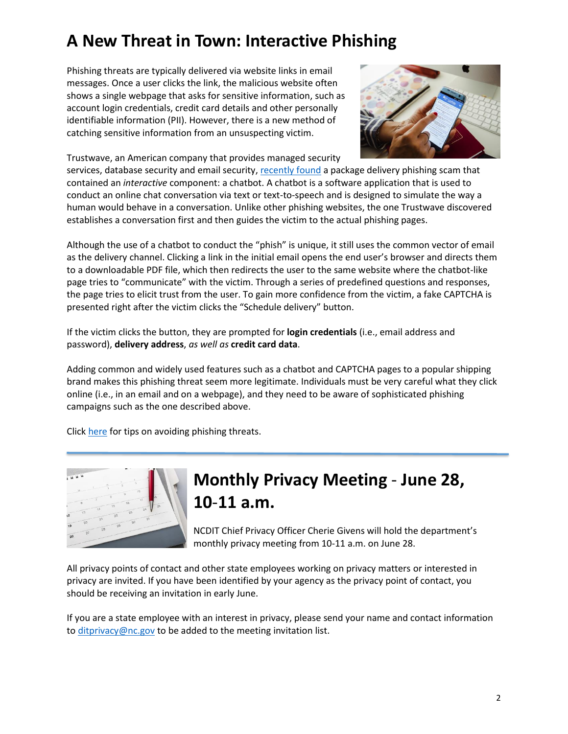# **A New Threat in Town: Interactive Phishing**

Phishing threats are typically delivered via website links in email messages. Once a user clicks the link, the malicious website often shows a single webpage that asks for sensitive information, such as account login credentials, credit card details and other personally identifiable information (PII). However, there is a new method of catching sensitive information from an unsuspecting victim.

Trustwave, an American company that provides managed security



services, database security and email security[, recently found](https://www.trustwave.com/en-us/resources/blogs/spiderlabs-blog/interactive-phishing-using-chatbot-like-web-applications-to-harvest-information/?mkt_tok=ODE1LVJGTS02OTMAAAGEkDMSQNAGmEoCcvN6R1s0KWmSJK2zXKEgPUr5v5xE2rJPRKD368joYMMBVUrai_T7o1gp0TZ7f3wmG1-FIcPyCCxC62w0twi2PFV5JJz1OsK2DPU) a package delivery phishing scam that contained an *interactive* component: a chatbot. A chatbot is a software application that is used to conduct an online chat conversation via text or text-to-speech and is designed to simulate the way a human would behave in a conversation. Unlike other phishing websites, the one Trustwave discovered establishes a conversation first and then guides the victim to the actual phishing pages.

Although the use of a chatbot to conduct the "phish" is unique, it still uses the common vector of email as the delivery channel. Clicking a link in the initial email opens the end user's browser and directs them to a downloadable PDF file, which then redirects the user to the same website where the chatbot-like page tries to "communicate" with the victim. Through a series of predefined questions and responses, the page tries to elicit trust from the user. To gain more confidence from the victim, a fake CAPTCHA is presented right after the victim clicks the "Schedule delivery" button.

If the victim clicks the button, they are prompted for **login credentials** (i.e., email address and password), **delivery address**, *as well as* **credit card data**.

Adding common and widely used features such as a chatbot and CAPTCHA pages to a popular shipping brand makes this phishing threat seem more legitimate. Individuals must be very careful what they click online (i.e., in an email and on a webpage), and they need to be aware of sophisticated phishing campaigns such as the one described above.

Click [here](https://it.nc.gov/resources/cybersecurity-risk-management/cybersecurenc/tips/phishing) for tips on avoiding phishing threats.



# **Monthly Privacy Meeting** - **June 28, 10**-**11 a.m.**

NCDIT Chief Privacy Officer Cherie Givens will hold the department's monthly privacy meeting from 10-11 a.m. on June 28.

All privacy points of contact and other state employees working on privacy matters or interested in privacy are invited. If you have been identified by your agency as the privacy point of contact, you should be receiving an invitation in early June.

If you are a state employee with an interest in privacy, please send your name and contact information to [ditprivacy@nc.gov](mailto:ditprivacy@nc.gov) to be added to the meeting invitation list.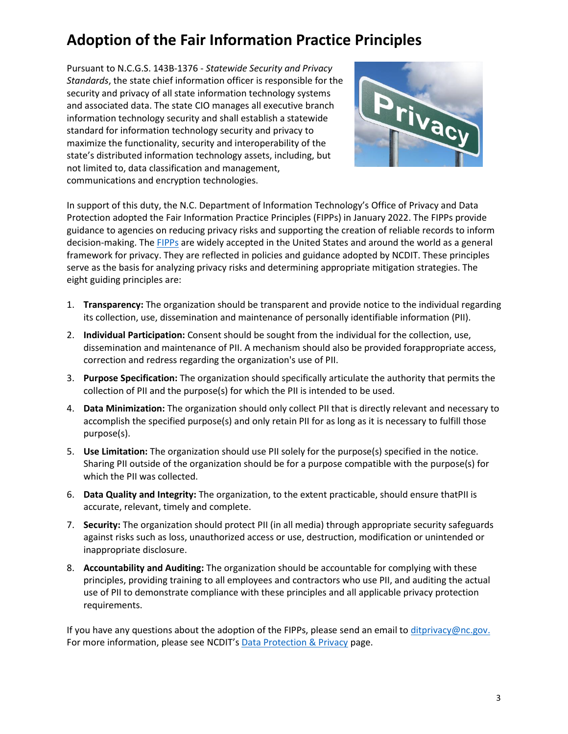## **Adoption of the Fair Information Practice Principles**

Pursuant to N.C.G.S. 143B-1376 - *Statewide Security and Privacy Standards*, the state chief information officer is responsible for the security and privacy of all state information technology systems and associated data. The state CIO manages all executive branch information technology security and shall establish a statewide standard for information technology security and privacy to maximize the functionality, security and interoperability of the state's distributed information technology assets, including, but not limited to, data classification and management, communications and encryption technologies.



In support of this duty, the N.C. Department of Information Technology's Office of Privacy and Data Protection adopted the Fair Information Practice Principles (FIPPs) in January 2022. The FIPPs provide guidance to agencies on reducing privacy risks and supporting the creation of reliable records to inform decision-making. The **FIPPs** are widely accepted in the United States and around the world as a general framework for privacy. They are reflected in policies and guidance adopted by NCDIT. These principles serve as the basis for analyzing privacy risks and determining appropriate mitigation strategies. The eight guiding principles are:

- 1. **Transparency:** The organization should be transparent and provide notice to the individual regarding its collection, use, dissemination and maintenance of personally identifiable information (PII).
- 2. **Individual Participation:** Consent should be sought from the individual for the collection, use, dissemination and maintenance of PII. A mechanism should also be provided forappropriate access, correction and redress regarding the organization's use of PII.
- 3. **Purpose Specification:** The organization should specifically articulate the authority that permits the collection of PII and the purpose(s) for which the PII is intended to be used.
- 4. **Data Minimization:** The organization should only collect PII that is directly relevant and necessary to accomplish the specified purpose(s) and only retain PII for as long as it is necessary to fulfill those purpose(s).
- 5. **Use Limitation:** The organization should use PII solely for the purpose(s) specified in the notice. Sharing PII outside of the organization should be for a purpose compatible with the purpose(s) for which the PII was collected.
- 6. **Data Quality and Integrity:** The organization, to the extent practicable, should ensure thatPII is accurate, relevant, timely and complete.
- 7. **Security:** The organization should protect PII (in all media) through appropriate security safeguards against risks such as loss, unauthorized access or use, destruction, modification or unintended or inappropriate disclosure.
- 8. **Accountability and Auditing:** The organization should be accountable for complying with these principles, providing training to all employees and contractors who use PII, and auditing the actual use of PII to demonstrate compliance with these principles and all applicable privacy protection requirements.

If you have any questions about the adoption of the FIPPs, please send an email to [ditprivacy@nc.gov.](mailto:ditprivacy@nc.gov) For more information, please see NCDIT's [Data Protection & Privacy](https://it.nc.gov/resources/data-protection-privacy) page.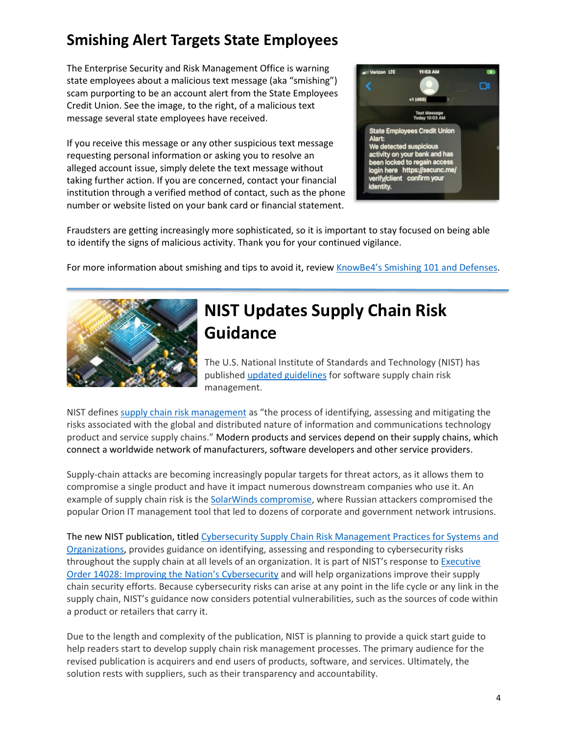## **Smishing Alert Targets State Employees**

The Enterprise Security and Risk Management Office is warning state employees about a malicious text message (aka "smishing") scam purporting to be an account alert from the State Employees Credit Union. See the image, to the right, of a malicious text message several state employees have received.

If you receive this message or any other suspicious text message requesting personal information or asking you to resolve an alleged account issue, simply delete the text message without taking further action. If you are concerned, contact your financial institution through a verified method of contact, such as the phone number or website listed on your bank card or financial statement.



Fraudsters are getting increasingly more sophisticated, so it is important to stay focused on being able to identify the signs of malicious activity. Thank you for your continued vigilance.

For more information about smishing and tips to avoid it, review [KnowBe4's Smishing 101 and Defenses](https://blog.knowbe4.com/smishing-101-and-defenses).



# **NIST Updates Supply Chain Risk Guidance**

The U.S. National Institute of Standards and Technology (NIST) has publishe[d updated guidelines](https://www.nist.gov/news-events/news/2022/05/nist-updates-cybersecurity-guidance-supply-chain-risk-management) for software supply chain risk management.

NIST defines [supply chain risk management](https://csrc.nist.gov/glossary/term/supply_chain_risk_management) as "the process of identifying, assessing and mitigating the risks associated with the global and distributed nature of information and communications technology product and service supply chains." Modern products and services depend on their supply chains, which connect a worldwide network of manufacturers, software developers and other service providers.

Supply-chain attacks are becoming increasingly popular targets for threat actors, as it allows them to compromise a single product and have it impact numerous downstream companies who use it. An example of supply chain risk is the [SolarWinds compromise,](https://www.cisa.gov/supply-chain-compromise) where Russian attackers compromised the popular Orion IT management tool that led to dozens of corporate and government network intrusions.

The new NIST publication, titled [Cybersecurity Supply Chain Risk Management Practices for Systems and](https://nvlpubs.nist.gov/nistpubs/SpecialPublications/NIST.SP.800-161r1.pdf)  [Organizations,](https://nvlpubs.nist.gov/nistpubs/SpecialPublications/NIST.SP.800-161r1.pdf) provides guidance on identifying, assessing and responding to cybersecurity risks throughout the supply chain at all levels of an organization. It is part of NIST's response to [Executive](https://www.federalregister.gov/documents/2021/05/17/2021-10460/improving-the-nations-cybersecurity)  [Order 14028: Improving the Nation's](https://www.federalregister.gov/documents/2021/05/17/2021-10460/improving-the-nations-cybersecurity) Cybersecurity and will help organizations improve their supply chain security efforts. Because cybersecurity risks can arise at any point in the life cycle or any link in the supply chain, NIST's guidance now considers potential vulnerabilities, such as the sources of code within a product or retailers that carry it.

Due to the length and complexity of the publication, NIST is planning to provide a quick start guide to help readers start to develop supply chain risk management processes. The primary audience for the revised publication is acquirers and end users of products, software, and services. Ultimately, the solution rests with suppliers, such as their transparency and accountability.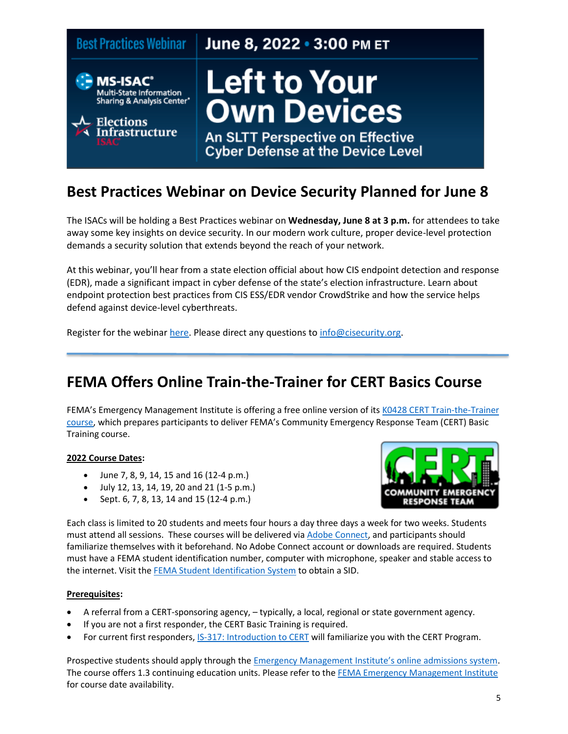

#### **Best Practices Webinar on Device Security Planned for June 8**

The ISACs will be holding a Best Practices webinar on **Wednesday, June 8 at 3 p.m.** for attendees to take away some key insights on device security. In our modern work culture, proper device-level protection demands a security solution that extends beyond the reach of your network.

At this webinar, you'll hear from a state election official about how CIS endpoint detection and response (EDR), made a significant impact in cyber defense of the state's election infrastructure. Learn about endpoint protection best practices from CIS ESS/EDR vendor CrowdStrike and how the service helps defend against device-level cyberthreats.

Register for the webinar [here.](https://cisevents.webex.com/cisevents/j.php?RGID=r434b521e8a4232fc8653a1ad970f2bb8) Please direct any questions t[o info@cisecurity.org.](mailto:info@cisecurity.org)

#### **FEMA Offers Online Train-the-Trainer for CERT Basics Course**

FEMA's Emergency Management Institute is offering a free online version of its [K0428 CERT Train-the-Trainer](https://training.fema.gov/emigrams/2021/1693-training%20opportunity-k0428%20emi%20fy22%20cert%20training.pdf?d=12/13/2021)  [course,](https://training.fema.gov/emigrams/2021/1693-training%20opportunity-k0428%20emi%20fy22%20cert%20training.pdf?d=12/13/2021) which prepares participants to deliver FEMA's Community Emergency Response Team (CERT) Basic Training course.

#### **2022 Course Dates:**

- June 7, 8, 9, 14, 15 and 16 (12-4 p.m.)
- July 12, 13, 14, 19, 20 and 21 (1-5 p.m.)
- Sept. 6, 7, 8, 13, 14 and 15 (12-4 p.m.)



Each class is limited to 20 students and meets four hours a day three days a week for two weeks. Students must attend all sessions. These courses will be delivered via [Adobe Connect,](https://helpx.adobe.com/adobe-connect/using/meeting-basics.html) and participants should familiarize themselves with it beforehand. No Adobe Connect account or downloads are required. Students must have a FEMA student identification number, computer with microphone, speaker and stable access to the internet. Visit th[e FEMA Student Identification System](https://cdp.dhs.gov/FEMASID) to obtain a SID.

#### **Prerequisites:**

- A referral from a CERT-sponsoring agency, typically, a local, regional or state government agency.
- If you are not a first responder, the CERT Basic Training is required.
- For current first responders[, IS-317: Introduction](https://training.fema.gov/is/courseoverview.aspx?code=IS-317.a) to CERT will familiarize you with the CERT Program.

Prospective students should apply through the [Emergency Management Institute's online admissions system](https://training.fema.gov/netc_online_admissions/). The course offers 1.3 continuing education units. Please refer to the [FEMA Emergency Management Institute](https://training.fema.gov/emi.aspx) for course date availability.